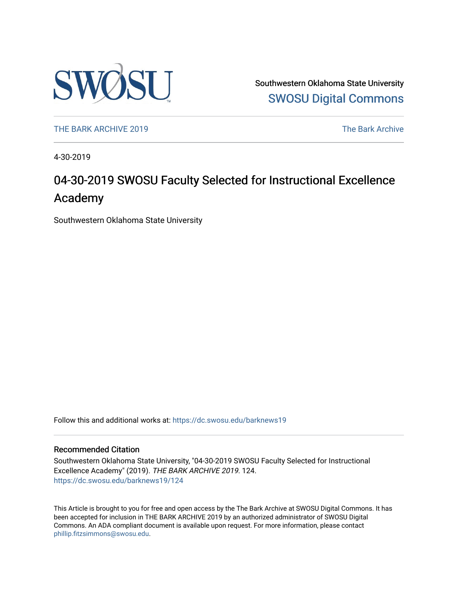

Southwestern Oklahoma State University [SWOSU Digital Commons](https://dc.swosu.edu/) 

[THE BARK ARCHIVE 2019](https://dc.swosu.edu/barknews19) The Bark Archive

4-30-2019

### 04-30-2019 SWOSU Faculty Selected for Instructional Excellence Academy

Southwestern Oklahoma State University

Follow this and additional works at: [https://dc.swosu.edu/barknews19](https://dc.swosu.edu/barknews19?utm_source=dc.swosu.edu%2Fbarknews19%2F124&utm_medium=PDF&utm_campaign=PDFCoverPages)

#### Recommended Citation

Southwestern Oklahoma State University, "04-30-2019 SWOSU Faculty Selected for Instructional Excellence Academy" (2019). THE BARK ARCHIVE 2019. 124. [https://dc.swosu.edu/barknews19/124](https://dc.swosu.edu/barknews19/124?utm_source=dc.swosu.edu%2Fbarknews19%2F124&utm_medium=PDF&utm_campaign=PDFCoverPages)

This Article is brought to you for free and open access by the The Bark Archive at SWOSU Digital Commons. It has been accepted for inclusion in THE BARK ARCHIVE 2019 by an authorized administrator of SWOSU Digital Commons. An ADA compliant document is available upon request. For more information, please contact [phillip.fitzsimmons@swosu.edu](mailto:phillip.fitzsimmons@swosu.edu).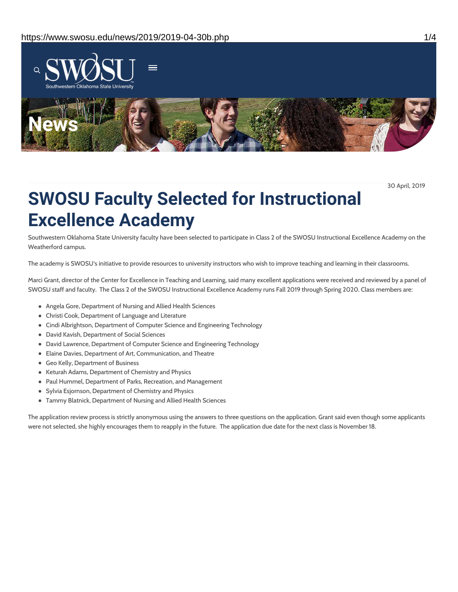

30 April, 2019

# **SWOSU Faculty Selected for Instructional Excellence Academy**

Southwestern Oklahoma State University faculty have been selected to participate in Class 2 of the SWOSU Instructional Excellence Academy on the Weatherford campus.

The academy is SWOSU's initiative to provide resources to university instructors who wish to improve teaching and learning in their classrooms.

Marci Grant, director of the Center for Excellence in Teaching and Learning, said many excellent applications were received and reviewed by a panel of SWOSU staff and faculty. The Class 2 of the SWOSU Instructional Excellence Academy runs Fall 2019 through Spring 2020. Class members are:

- Angela Gore, Department of Nursing and Allied Health Sciences
- Christi Cook, Department of Language and Literature
- Cindi Albrightson, Department of Computer Science and Engineering Technology
- David Kavish, Department of Social Sciences
- David Lawrence, Department of Computer Science and Engineering Technology
- Elaine Davies, Department of Art, Communication, and Theatre
- Geo Kelly, Department of Business
- Keturah Adams, Department of Chemistry and Physics
- Paul Hummel, Department of Parks, Recreation, and Management
- Sylvia Esjornson, Department of Chemistry and Physics
- Tammy Blatnick, Department of Nursing and Allied Health Sciences

The application review process is strictly anonymous using the answers to three questions on the application. Grant said even though some applicants were not selected, she highly encourages them to reapply in the future. The application due date for the next class is November 18.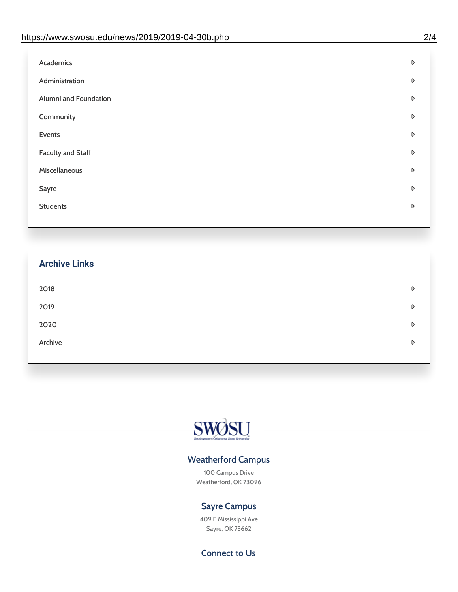| Administration<br>D<br>Alumni and Foundation<br>D<br>Community<br>D<br>Events<br>D | Academics | D |
|------------------------------------------------------------------------------------|-----------|---|
|                                                                                    |           |   |
|                                                                                    |           |   |
|                                                                                    |           |   |
|                                                                                    |           |   |
| <b>Faculty and Staff</b><br>D                                                      |           |   |
| Miscellaneous<br>D                                                                 |           |   |
| Sayre<br>D                                                                         |           |   |
| <b>Students</b><br>D                                                               |           |   |

## **Archive Links**  $2018$  $2019$ [2020](https://www.swosu.edu/news/2020/index.php)  $\bullet$ [Archive](https://dc.swosu.edu/bark/) **Archive Archive Archive Archive Archive** Archive Archive Archive Archive Archive Archive Archive Archive



### Weatherford Campus

100 Campus Drive Weatherford, OK 73096

### Sayre Campus

409 E Mississippi Ave Sayre, OK 73662

Connect to Us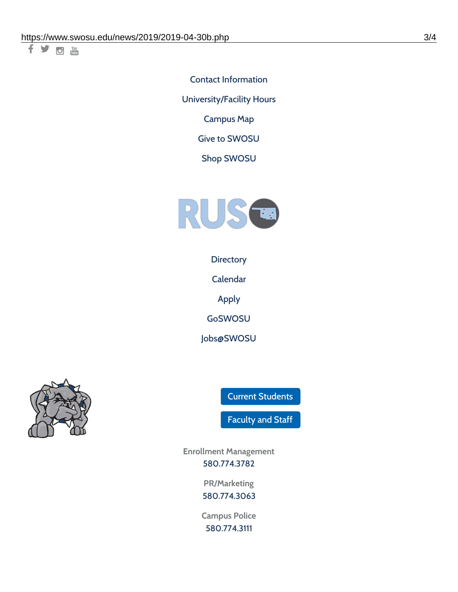千岁回调

Contact [Information](https://www.swosu.edu/about/contact.php) [University/Facility](https://www.swosu.edu/about/operating-hours.php) Hours [Campus](https://map.concept3d.com/?id=768#!ct/10964,10214,10213,10212,10205,10204,10203,10202,10136,10129,10128,0,31226,10130,10201,10641,0) Map

Give to [SWOSU](https://standingfirmly.com/donate)

Shop [SWOSU](https://shopswosu.merchorders.com/)



**[Directory](https://www.swosu.edu/directory/index.php)** 

[Calendar](https://eventpublisher.dudesolutions.com/swosu/)

[Apply](https://www.swosu.edu/admissions/apply-to-swosu.php)

[GoSWOSU](https://qlsso.quicklaunchsso.com/home/1267)

[Jobs@SWOSU](https://swosu.csod.com/ux/ats/careersite/1/home?c=swosu)



Current [Students](https://bulldog.swosu.edu/index.php)

[Faculty](https://bulldog.swosu.edu/faculty-staff/index.php) and Staff

**Enrollment Management** [580.774.3782](tel:5807743782)

> **PR/Marketing** [580.774.3063](tel:5807743063)

**Campus Police** [580.774.3111](tel:5807743111)